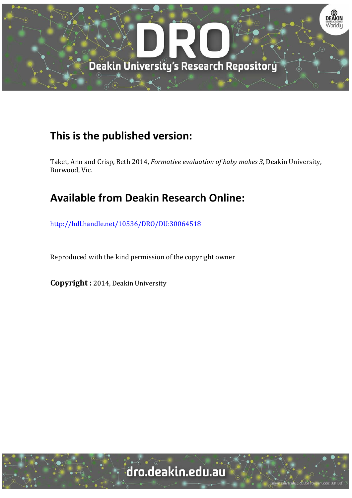

# **This is the published version:**

Taket, Ann and Crisp, Beth 2014, *Formative evaluation of baby makes 3*, Deakin University, Burwood, Vic.

# **Available from Deakin Research Online:**

http://hdl.handle.net/10536/DRO/DU:30064518

Reproduced with the kind permission of the copyright owner

**Copyright** : 2014, Deakin University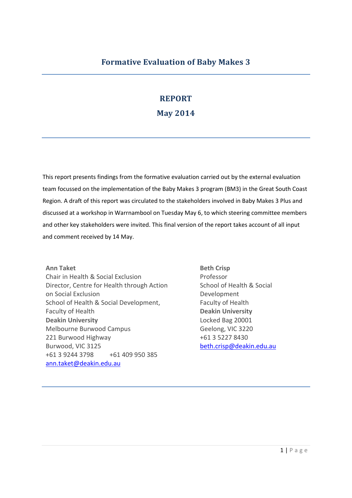## **REPORT**

### **May 2014**

This report presents findings from the formative evaluation carried out by the external evaluation team focussed on the implementation of the Baby Makes 3 program (BM3) in the Great South Coast Region. A draft of this report was circulated to the stakeholders involved in Baby Makes 3 Plus and discussed at a workshop in Warrnambool on Tuesday May 6, to which steering committee members and other key stakeholders were invited. This final version of the report takes account of all input and comment received by 14 May.

**Ann Taket** Chair in Health & Social Exclusion Director, Centre for Health through Action on Social Exclusion School of Health & Social Development, Faculty of Health **Deakin University** Melbourne Burwood Campus 221 Burwood Highway Burwood, VIC 3125 +61 3 9244 3798 +61 409 950 385 [ann.taket@deakin.edu.au](mailto:ann.taket@deakin.edu.au)

**Beth Crisp** Professor School of Health & Social Development Faculty of Health **Deakin University** Locked Bag 20001 Geelong, VIC 3220 +61 3 5227 8430 [beth.crisp@deakin.edu.au](mailto:beth.crisp@deakin.edu.au)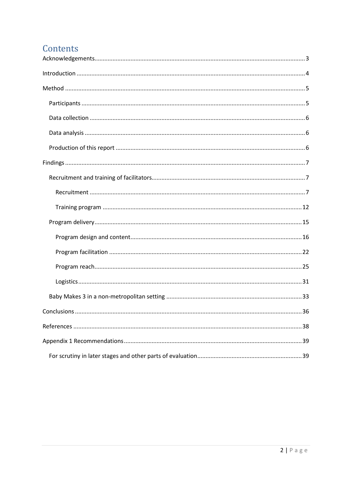## Contents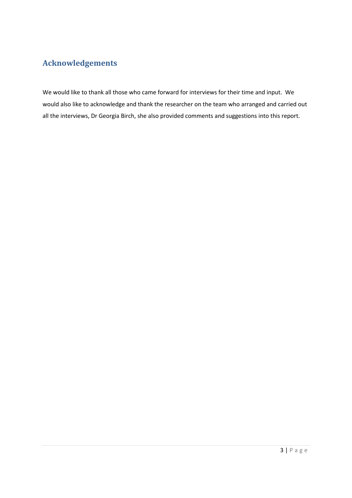## <span id="page-3-0"></span>**Acknowledgements**

We would like to thank all those who came forward for interviews for their time and input. We would also like to acknowledge and thank the researcher on the team who arranged and carried out all the interviews, Dr Georgia Birch, she also provided comments and suggestions into this report.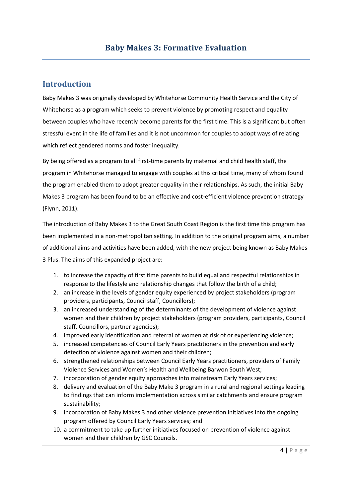## <span id="page-4-0"></span>**Introduction**

Baby Makes 3 was originally developed by Whitehorse Community Health Service and the City of Whitehorse as a program which seeks to prevent violence by promoting respect and equality between couples who have recently become parents for the first time. This is a significant but often stressful event in the life of families and it is not uncommon for couples to adopt ways of relating which reflect gendered norms and foster inequality.

By being offered as a program to all first-time parents by maternal and child health staff, the program in Whitehorse managed to engage with couples at this critical time, many of whom found the program enabled them to adopt greater equality in their relationships. As such, the initial Baby Makes 3 program has been found to be an effective and cost-efficient violence prevention strategy (Flynn, 2011).

The introduction of Baby Makes 3 to the Great South Coast Region is the first time this program has been implemented in a non-metropolitan setting. In addition to the original program aims, a number of additional aims and activities have been added, with the new project being known as Baby Makes 3 Plus. The aims of this expanded project are:

- 1. to increase the capacity of first time parents to build equal and respectful relationships in response to the lifestyle and relationship changes that follow the birth of a child;
- 2. an increase in the levels of gender equity experienced by project stakeholders (program providers, participants, Council staff, Councillors);
- 3. an increased understanding of the determinants of the development of violence against women and their children by project stakeholders (program providers, participants, Council staff, Councillors, partner agencies);
- 4. improved early identification and referral of women at risk of or experiencing violence;
- 5. increased competencies of Council Early Years practitioners in the prevention and early detection of violence against women and their children;
- 6. strengthened relationships between Council Early Years practitioners, providers of Family Violence Services and Women's Health and Wellbeing Barwon South West;
- 7. incorporation of gender equity approaches into mainstream Early Years services;
- 8. delivery and evaluation of the Baby Make 3 program in a rural and regional settings leading to findings that can inform implementation across similar catchments and ensure program sustainability;
- 9. incorporation of Baby Makes 3 and other violence prevention initiatives into the ongoing program offered by Council Early Years services; and
- 10. a commitment to take up further initiatives focused on prevention of violence against women and their children by GSC Councils.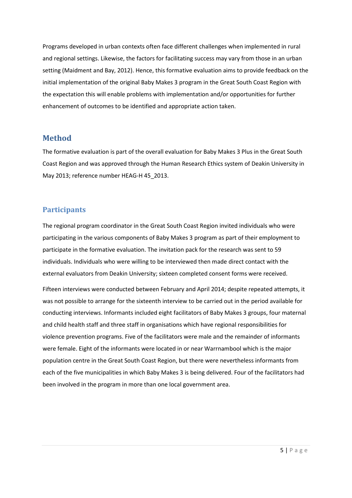Programs developed in urban contexts often face different challenges when implemented in rural and regional settings. Likewise, the factors for facilitating success may vary from those in an urban setting (Maidment and Bay, 2012). Hence, this formative evaluation aims to provide feedback on the initial implementation of the original Baby Makes 3 program in the Great South Coast Region with the expectation this will enable problems with implementation and/or opportunities for further enhancement of outcomes to be identified and appropriate action taken.

#### <span id="page-5-0"></span>**Method**

The formative evaluation is part of the overall evaluation for Baby Makes 3 Plus in the Great South Coast Region and was approved through the Human Research Ethics system of Deakin University in May 2013; reference number HEAG-H 45\_2013.

#### <span id="page-5-1"></span>**Participants**

The regional program coordinator in the Great South Coast Region invited individuals who were participating in the various components of Baby Makes 3 program as part of their employment to participate in the formative evaluation. The invitation pack for the research was sent to 59 individuals. Individuals who were willing to be interviewed then made direct contact with the external evaluators from Deakin University; sixteen completed consent forms were received.

Fifteen interviews were conducted between February and April 2014; despite repeated attempts, it was not possible to arrange for the sixteenth interview to be carried out in the period available for conducting interviews. Informants included eight facilitators of Baby Makes 3 groups, four maternal and child health staff and three staff in organisations which have regional responsibilities for violence prevention programs. Five of the facilitators were male and the remainder of informants were female. Eight of the informants were located in or near Warrnambool which is the major population centre in the Great South Coast Region, but there were nevertheless informants from each of the five municipalities in which Baby Makes 3 is being delivered. Four of the facilitators had been involved in the program in more than one local government area.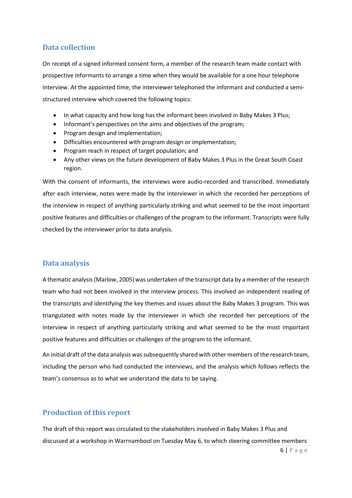#### <span id="page-6-0"></span>**Data collection**

On receipt of a signed informed consent form, a member of the research team made contact with prospective informants to arrange a time when they would be available for a one hour telephone interview. At the appointed time, the interviewer telephoned the informant and conducted a semistructured interview which covered the following topics:

- In what capacity and how long has the informant been involved in Baby Makes 3 Plus;
- Informant's perspectives on the aims and objectives of the program;
- Program design and implementation;
- Difficulties encountered with program design or implementation;
- Program reach in respect of target population; and
- Any other views on the future development of Baby Makes 3 Plus in the Great South Coast region.

With the consent of informants, the interviews were audio-recorded and transcribed. Immediately after each interview, notes were made by the interviewer in which she recorded her perceptions of the interview in respect of anything particularly striking and what seemed to be the most important positive features and difficulties or challenges of the program to the informant. Transcripts were fully checked by the interviewer prior to data analysis.

#### <span id="page-6-1"></span>**Data analysis**

A thematic analysis(Marlow, 2005) was undertaken of the transcript data by a member of the research team who had not been involved in the interview process. This involved an independent reading of the transcripts and identifying the key themes and issues about the Baby Makes 3 program. This was triangulated with notes made by the interviewer in which she recorded her perceptions of the interview in respect of anything particularly striking and what seemed to be the most important positive features and difficulties or challenges of the program to the informant.

An initial draft of the data analysis was subsequently shared with other members of the research team, including the person who had conducted the interviews, and the analysis which follows reflects the team's consensus as to what we understand the data to be saying.

#### <span id="page-6-2"></span>**Production of this report**

The draft of this report was circulated to the stakeholders involved in Baby Makes 3 Plus and discussed at a workshop in Warrnambool on Tuesday May 6, to which steering committee members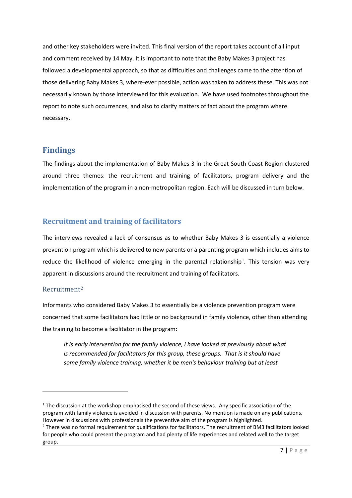and other key stakeholders were invited. This final version of the report takes account of all input and comment received by 14 May. It is important to note that the Baby Makes 3 project has followed a developmental approach, so that as difficulties and challenges came to the attention of those delivering Baby Makes 3, where-ever possible, action was taken to address these. This was not necessarily known by those interviewed for this evaluation. We have used footnotes throughout the report to note such occurrences, and also to clarify matters of fact about the program where necessary.

#### <span id="page-7-0"></span>**Findings**

The findings about the implementation of Baby Makes 3 in the Great South Coast Region clustered around three themes: the recruitment and training of facilitators, program delivery and the implementation of the program in a non-metropolitan region. Each will be discussed in turn below.

#### <span id="page-7-1"></span>**Recruitment and training of facilitators**

The interviews revealed a lack of consensus as to whether Baby Makes 3 is essentially a violence prevention program which is delivered to new parents or a parenting program which includes aims to reduce the likelihood of violence emerging in the parental relationship<sup>[1](#page-7-3)</sup>. This tension was very apparent in discussions around the recruitment and training of facilitators.

#### <span id="page-7-2"></span>Recruitment[2](#page-7-4)

**.** 

Informants who considered Baby Makes 3 to essentially be a violence prevention program were concerned that some facilitators had little or no background in family violence, other than attending the training to become a facilitator in the program:

*It is early intervention for the family violence, I have looked at previously about what is recommended for facilitators for this group, these groups. That is it should have some family violence training, whether it be men's behaviour training but at least* 

<span id="page-7-3"></span> $1$  The discussion at the workshop emphasised the second of these views. Any specific association of the program with family violence is avoided in discussion with parents. No mention is made on any publications. However in discussions with professionals the preventive aim of the program is highlighted.

<span id="page-7-4"></span><sup>&</sup>lt;sup>2</sup> There was no formal requirement for qualifications for facilitators. The recruitment of BM3 facilitators looked for people who could present the program and had plenty of life experiences and related well to the target group.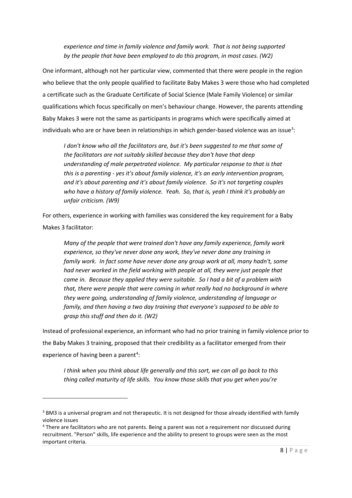*experience and time in family violence and family work. That is not being supported by the people that have been employed to do this program, in most cases. (W2)*

One informant, although not her particular view, commented that there were people in the region who believe that the only people qualified to facilitate Baby Makes 3 were those who had completed a certificate such as the Graduate Certificate of Social Science (Male Family Violence) or similar qualifications which focus specifically on men's behaviour change. However, the parents attending Baby Makes 3 were not the same as participants in programs which were specifically aimed at individuals who are or have been in relationships in which gender-based violence was an issue<sup>[3](#page-8-0)</sup>:

*I don't know who all the facilitators are, but it's been suggested to me that some of the facilitators are not suitably skilled because they don't have that deep understanding of male perpetrated violence. My particular response to that is that this is a parenting - yes it's about family violence, it's an early intervention program, and it's about parenting and it's about family violence. So it's not targeting couples who have a history of family violence. Yeah. So, that is, yeah I think it's probably an unfair criticism. (W9)*

For others, experience in working with families was considered the key requirement for a Baby Makes 3 facilitator:

*Many of the people that were trained don't have any family experience, family work experience, so they've never done any work, they've never done any training in family work. In fact some have never done any group work at all, many hadn't, some had never worked in the field working with people at all, they were just people that came in. Because they applied they were suitable. So I had a bit of a problem with that, there were people that were coming in what really had no background in where they were going, understanding of family violence, understanding of language or family, and then having a two day training that everyone's supposed to be able to grasp this stuff and then do it. (W2)*

Instead of professional experience, an informant who had no prior training in family violence prior to the Baby Makes 3 training, proposed that their credibility as a facilitator emerged from their experience of having been a parent<sup>4</sup>:

*I think when you think about life generally and this sort, we can all go back to this thing called maturity of life skills. You know those skills that you get when you're* 

 $\overline{a}$ 

<span id="page-8-0"></span><sup>&</sup>lt;sup>3</sup> BM3 is a universal program and not therapeutic. It is not designed for those already identified with family violence issues

<span id="page-8-1"></span><sup>&</sup>lt;sup>4</sup> There are facilitators who are not parents. Being a parent was not a requirement nor discussed during recruitment. "Person" skills, life experience and the ability to present to groups were seen as the most important criteria.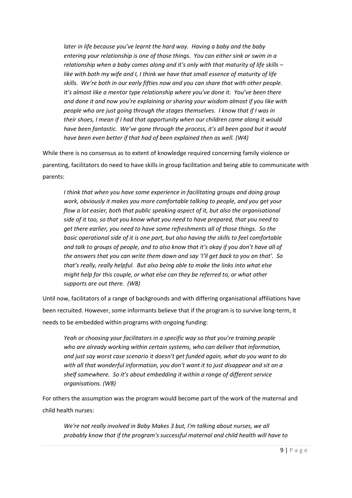*later in life because you've learnt the hard way. Having a baby and the baby entering your relationship is one of those things. You can either sink or swim in a relationship when a baby comes along and it's only with that maturity of life skills – like with both my wife and I, I think we have that small essence of maturity of life skills. We're both in our early fifties now and you can share that with other people. It's almost like a mentor type relationship where you've done it. You've been there and done it and now you're explaining or sharing your wisdom almost if you like with people who are just going through the stages themselves. I know that if I was in their shoes, I mean if I had that opportunity when our children came along it would have been fantastic. We've gone through the process, it's all been good but it would have been even better if that had of been explained then as well. (W4)*

While there is no consensus as to extent of knowledge required concerning family violence or parenting, facilitators do need to have skills in group facilitation and being able to communicate with parents:

*I think that when you have some experience in facilitating groups and doing group work, obviously it makes you more comfortable talking to people, and you get your flow a lot easier, both that public speaking aspect of it, but also the organisational side of it too, so that you know what you need to have prepared, that you need to get there earlier, you need to have some refreshments all of those things. So the basic operational side of it is one part, but also having the skills to feel comfortable and talk to groups of people, and to also know that it's okay if you don't have all of the answers that you can write them down and say 'I'll get back to you on that'. So that's really, really helpful. But also being able to make the links into what else might help for this couple, or what else can they be referred to, or what other supports are out there. (W8)*

Until now, facilitators of a range of backgrounds and with differing organisational affiliations have been recruited. However, some informants believe that if the program is to survive long-term, it needs to be embedded within programs with ongoing funding:

*Yeah or choosing your facilitators in a specific way so that you're training people who are already working within certain systems, who can deliver that information, and just say worst case scenario it doesn't get funded again, what do you want to do with all that wonderful information, you don't want it to just disappear and sit on a shelf somewhere. So it's about embedding it within a range of different service organisations. (W8)*

For others the assumption was the program would become part of the work of the maternal and child health nurses:

*We're not really involved in Baby Makes 3 but, I'm talking about nurses, we all probably know that if the program's successful maternal and child health will have to*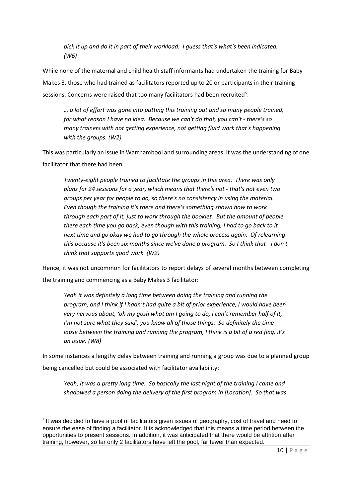*pick it up and do it in part of their workload. I guess that's what's been indicated. (W6)*

While none of the maternal and child health staff informants had undertaken the training for Baby Makes 3, those who had trained as facilitators reported up to 20 or participants in their training sessions. Concerns were raised that too many facilitators had been recruited<sup>5</sup>:

*… a lot of effort was gone into putting this training out and so many people trained, for what reason I have no idea. Because we can't do that, you can't - there's so many trainers with not getting experience, not getting fluid work that's happening with the groups. (W2)*

This was particularly an issue in Warrnambool and surrounding areas. It was the understanding of one facilitator that there had been

*Twenty-eight people trained to facilitate the groups in this area. There was only plans for 24 sessions for a year, which means that there's not - that's not even two groups per year for people to do, so there's no consistency in using the material. Even though the training it's there and there's something shown how to work through each part of it, just to work through the booklet. But the amount of people there each time you go back, even though with this training, I had to go back to it next time and go okay we had to go through the whole process again. Of relearning this because it's been six months since we've done a program. So I think that - I don't think that supports good work. (W2)*

Hence, it was not uncommon for facilitators to report delays of several months between completing the training and commencing as a Baby Makes 3 facilitator:

*Yeah it was definitely a long time between doing the training and running the program, and I think if I hadn't had quite a bit of prior experience, I would have been very nervous about, 'oh my gosh what am I going to do, I can't remember half of it, I'm not sure what they said', you know all of those things. So definitely the time lapse between the training and running the program, I think is a bit of a red flag, it's an issue. (W8)*

In some instances a lengthy delay between training and running a group was due to a planned group being cancelled but could be associated with facilitator availability:

*Yeah, it was a pretty long time. So basically the last night of the training I came and shadowed a person doing the delivery of the first program in [Location]. So that was* 

**.** 

<span id="page-10-0"></span><sup>5</sup> It was decided to have a pool of facilitators given issues of geography, cost of travel and need to ensure the ease of finding a facilitator. It is acknowledged that this means a time period between the opportunities to present sessions. In addition, it was anticipated that there would be attrition after training, however, so far only 2 facilitators have left the pool, far fewer than expected.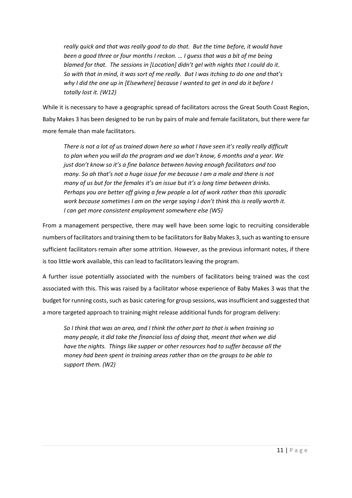*really quick and that was really good to do that. But the time before, it would have been a good three or four months I reckon. … I guess that was a bit of me being blamed for that. The sessions in [Location] didn't gel with nights that I could do it. So with that in mind, it was sort of me really. But I was itching to do one and that's why I did the one up in [Elsewhere] because I wanted to get in and do it before I totally lost it. (W12)*

While it is necessary to have a geographic spread of facilitators across the Great South Coast Region, Baby Makes 3 has been designed to be run by pairs of male and female facilitators, but there were far more female than male facilitators.

*There is not a lot of us trained down here so what I have seen it's really really difficult to plan when you will do the program and we don't know, 6 months and a year. We just don't know so it's a fine balance between having enough facilitators and too many. So ah that's not a huge issue for me because I am a male and there is not many of us but for the females it's an issue but it's a long time between drinks. Perhaps you are better off giving a few people a lot of work rather than this sporadic work because sometimes I am on the verge saying I don't think this is really worth it. I can get more consistent employment somewhere else (W5)*

From a management perspective, there may well have been some logic to recruiting considerable numbers of facilitators and training them to be facilitators for Baby Makes 3,such as wanting to ensure sufficient facilitators remain after some attrition. However, as the previous informant notes, if there is too little work available, this can lead to facilitators leaving the program.

A further issue potentially associated with the numbers of facilitators being trained was the cost associated with this. This was raised by a facilitator whose experience of Baby Makes 3 was that the budget for running costs, such as basic catering for group sessions, was insufficient and suggested that a more targeted approach to training might release additional funds for program delivery:

*So I think that was an area, and I think the other part to that is when training so many people, it did take the financial loss of doing that, meant that when we did have the nights. Things like supper or other resources had to suffer because all the money had been spent in training areas rather than on the groups to be able to support them. (W2)*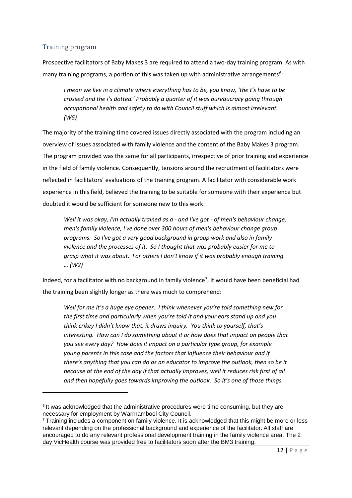#### <span id="page-12-0"></span>Training program

 $\overline{a}$ 

Prospective facilitators of Baby Makes 3 are required to attend a two-day training program. As with many training programs, a portion of this was taken up with administrative arrangements<sup>[6](#page-12-1)</sup>:

*I mean we live in a climate where everything has to be, you know, 'the t's have to be crossed and the i's dotted.' Probably a quarter of it was bureaucracy going through occupational health and safety to do with Council stuff which is almost irrelevant. (W5)*

The majority of the training time covered issues directly associated with the program including an overview of issues associated with family violence and the content of the Baby Makes 3 program. The program provided was the same for all participants, irrespective of prior training and experience in the field of family violence. Consequently, tensions around the recruitment of facilitators were reflected in facilitators' evaluations of the training program. A facilitator with considerable work experience in this field, believed the training to be suitable for someone with their experience but doubted it would be sufficient for someone new to this work:

*Well it was okay, I'm actually trained as a - and I've got - of men's behaviour change, men's family violence, I've done over 300 hours of men's behaviour change group programs. So I've got a very good background in group work and also in family violence and the processes of it. So I thought that was probably easier for me to grasp what it was about. For others I don't know if it was probably enough training … (W2)*

Indeed, for a facilitator with no background in family violence<sup>[7](#page-12-2)</sup>, it would have been beneficial had the training been slightly longer as there was much to comprehend:

*Well for me it's a huge eye opener. I think whenever you're told something new for the first time and particularly when you're told it and your ears stand up and you think crikey I didn't know that, it draws inquiry. You think to yourself, that's interesting. How can I do something about it or how does that impact on people that you see every day? How does it impact on a particular type group, for example young parents in this case and the factors that influence their behaviour and if there's anything that you can do as an educator to improve the outlook, then so be it because at the end of the day if that actually improves, well it reduces risk first of all and then hopefully goes towards improving the outlook. So it's one of those things.* 

<span id="page-12-1"></span><sup>&</sup>lt;sup>6</sup> It was acknowledged that the administrative procedures were time consuming, but they are necessary for employment by Warrnambool City Council.

<span id="page-12-2"></span><sup>7</sup> Training includes a component on family violence. It is acknowledged that this might be more or less relevant depending on the professional background and experience of the facilitator. All staff are encouraged to do any relevant professional development training in the family violence area. The 2 day VicHealth course was provided free to facilitators soon after the BM3 training.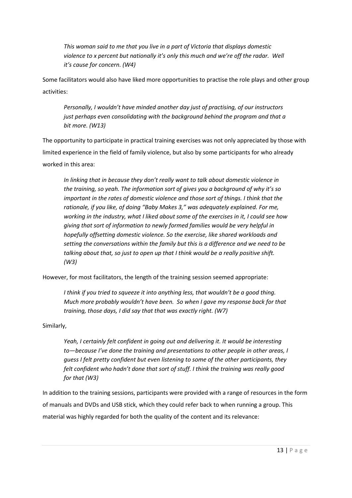*This woman said to me that you live in a part of Victoria that displays domestic violence to x percent but nationally it's only this much and we're off the radar. Well it's cause for concern. (W4)*

Some facilitators would also have liked more opportunities to practise the role plays and other group activities:

*Personally, I wouldn't have minded another day just of practising, of our instructors just perhaps even consolidating with the background behind the program and that a bit more. (W13)*

The opportunity to participate in practical training exercises was not only appreciated by those with limited experience in the field of family violence, but also by some participants for who already worked in this area:

*In linking that in because they don't really want to talk about domestic violence in the training, so yeah. The information sort of gives you a background of why it's so important in the rates of domestic violence and those sort of things. I think that the rationale, if you like, of doing "Baby Makes 3," was adequately explained. For me, working in the industry, what I liked about some of the exercises in it, I could see how giving that sort of information to newly formed families would be very helpful in hopefully offsetting domestic violence. So the exercise, like shared workloads and setting the conversations within the family but this is a difference and we need to be talking about that, so just to open up that I think would be a really positive shift. (W3)*

However, for most facilitators, the length of the training session seemed appropriate:

*I think if you tried to squeeze it into anything less, that wouldn't be a good thing. Much more probably wouldn't have been. So when I gave my response back for that training, those days, I did say that that was exactly right. (W7)*

Similarly,

*Yeah, I certainly felt confident in going out and delivering it. It would be interesting to—because I've done the training and presentations to other people in other areas, I guess I felt pretty confident but even listening to some of the other participants, they felt confident who hadn't done that sort of stuff. I think the training was really good for that (W3)*

In addition to the training sessions, participants were provided with a range of resources in the form of manuals and DVDs and USB stick, which they could refer back to when running a group. This material was highly regarded for both the quality of the content and its relevance: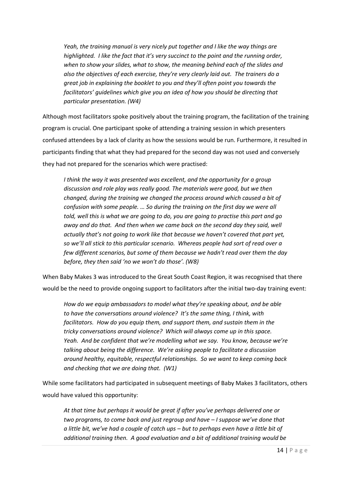*Yeah, the training manual is very nicely put together and I like the way things are highlighted. I like the fact that it's very succinct to the point and the running order, when to show your slides, what to show, the meaning behind each of the slides and also the objectives of each exercise, they're very clearly laid out. The trainers do a great job in explaining the booklet to you and they'll often point you towards the facilitators' guidelines which give you an idea of how you should be directing that particular presentation. (W4)*

Although most facilitators spoke positively about the training program, the facilitation of the training program is crucial. One participant spoke of attending a training session in which presenters confused attendees by a lack of clarity as how the sessions would be run. Furthermore, it resulted in participants finding that what they had prepared for the second day was not used and conversely they had not prepared for the scenarios which were practised:

*I think the way it was presented was excellent, and the opportunity for a group discussion and role play was really good. The materials were good, but we then changed, during the training we changed the process around which caused a bit of confusion with some people. … So during the training on the first day we were all told, well this is what we are going to do, you are going to practise this part and go away and do that. And then when we came back on the second day they said, well actually that's not going to work like that because we haven't covered that part yet, so we'll all stick to this particular scenario. Whereas people had sort of read over a few different scenarios, but some of them because we hadn't read over them the day before, they then said 'no we won't do those'. (W8)*

When Baby Makes 3 was introduced to the Great South Coast Region, it was recognised that there would be the need to provide ongoing support to facilitators after the initial two-day training event:

*How do we equip ambassadors to model what they're speaking about, and be able to have the conversations around violence? It's the same thing, I think, with facilitators. How do you equip them, and support them, and sustain them in the tricky conversations around violence? Which will always come up in this space. Yeah. And be confident that we're modelling what we say. You know, because we're talking about being the difference. We're asking people to facilitate a discussion around healthy, equitable, respectful relationships. So we want to keep coming back and checking that we are doing that. (W1)*

While some facilitators had participated in subsequent meetings of Baby Makes 3 facilitators, others would have valued this opportunity:

*At that time but perhaps it would be great if after you've perhaps delivered one or two programs, to come back and just regroup and have – I suppose we've done that a little bit, we've had a couple of catch ups – but to perhaps even have a little bit of additional training then. A good evaluation and a bit of additional training would be*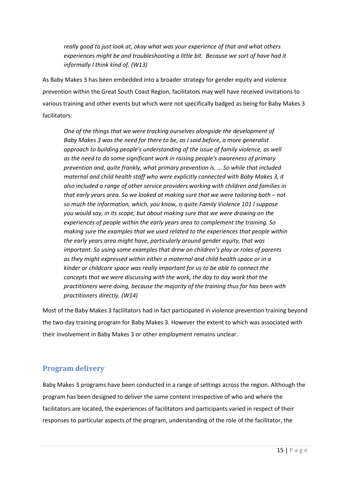*really good to just look at, okay what was your experience of that and what others experiences might be and troubleshooting a little bit. Because we sort of have had it informally I think kind of. (W13)*

As Baby Makes 3 has been embedded into a broader strategy for gender equity and violence prevention within the Great South Coast Region, facilitators may well have received invitations to various training and other events but which were not specifically badged as being for Baby Makes 3 facilitators:

*One of the things that we were tracking ourselves alongside the development of Baby Makes 3 was the need for there to be, as I said before, a more generalist approach to building people's understanding of the issue of family violence, as well as the need to do some significant work in raising people's awareness of primary prevention and, quite frankly, what primary prevention is. … So while that included maternal and child health staff who were explicitly connected with Baby Makes 3, it also included a range of other service providers working with children and families in that early years area. So we looked at making sure that we were tailoring both – not so much the information, which, you know, is quite Family Violence 101 I suppose you would say, in its scope, but about making sure that we were drawing on the experiences of people within the early years area to complement the training. So making sure the examples that we used related to the experiences that people within the early years area might have, particularly around gender equity, that was important. So using some examples that drew on children's play or roles of parents as they might expressed within either a maternal and child health space or in a kinder or childcare space was really important for us to be able to connect the concepts that we were discussing with the work, the day to day work that the practitioners were doing, because the majority of the training thus far has been with practitioners directly. (W14)*

Most of the Baby Makes 3 facilitators had in fact participated in violence prevention training beyond the two-day training program for Baby Makes 3. However the extent to which was associated with their involvement in Baby Makes 3 or other employment remains unclear.

#### <span id="page-15-0"></span>**Program delivery**

Baby Makes 3 programs have been conducted in a range of settings across the region. Although the program has been designed to deliver the same content irrespective of who and where the facilitators are located, the experiences of facilitators and participants varied in respect of their responses to particular aspects of the program, understanding of the role of the facilitator, the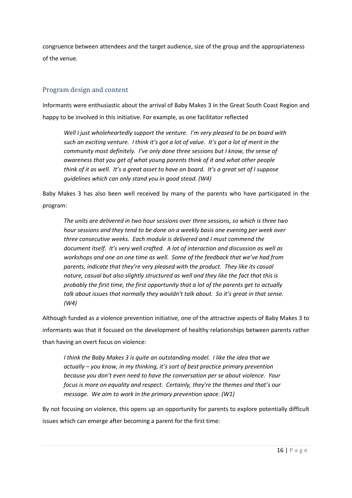congruence between attendees and the target audience, size of the group and the appropriateness of the venue.

#### <span id="page-16-0"></span>Program design and content

Informants were enthusiastic about the arrival of Baby Makes 3 in the Great South Coast Region and happy to be involved in this initiative. For example, as one facilitator reflected

*Well I just wholeheartedly support the venture. I'm very pleased to be on board with such an exciting venture. I think it's got a lot of value. It's got a lot of merit in the community most definitely. I've only done three sessions but I know, the sense of awareness that you get of what young parents think of it and what other people think of it as well. It's a great asset to have on board. It's a great set of I suppose guidelines which can only stand you in good stead. (W4)*

Baby Makes 3 has also been well received by many of the parents who have participated in the program:

*The units are delivered in two hour sessions over three sessions, so which is three two hour sessions and they tend to be done on a weekly basis one evening per week over three consecutive weeks. Each module is delivered and I must commend the document itself. It's very well crafted. A lot of interaction and discussion as well as workshops and one on one time as well. Some of the feedback that we've had from parents, indicate that they're very pleased with the product. They like its casual nature, casual but also slightly structured as well and they like the fact that this is probably the first time, the first opportunity that a lot of the parents get to actually talk about issues that normally they wouldn't talk about. So it's great in that sense. (W4)*

Although funded as a violence prevention initiative, one of the attractive aspects of Baby Makes 3 to informants was that it focused on the development of healthy relationships between parents rather than having an overt focus on violence:

*I think the Baby Makes 3 is quite an outstanding model. I like the idea that we actually – you know, in my thinking, it's sort of best practice primary prevention because you don't even need to have the conversation per se about violence. Your focus is more on equality and respect. Certainly, they're the themes and that's our message. We aim to work in the primary prevention space. (W1)*

By not focusing on violence, this opens up an opportunity for parents to explore potentially difficult issues which can emerge after becoming a parent for the first time: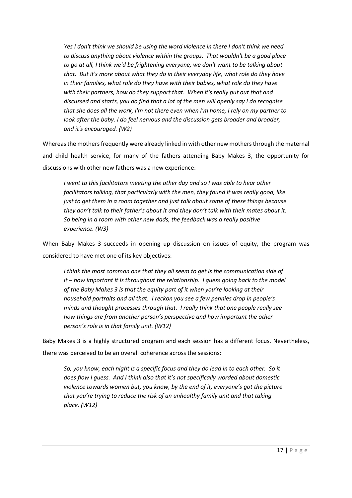*Yes I don't think we should be using the word violence in there I don't think we need to discuss anything about violence within the groups. That wouldn't be a good place to go at all, I think we'd be frightening everyone, we don't want to be talking about that. But it's more about what they do in their everyday life, what role do they have in their families, what role do they have with their babies, what role do they have with their partners, how do they support that. When it's really put out that and discussed and starts, you do find that a lot of the men will openly say I do recognise that she does all the work, I'm not there even when I'm home, I rely on my partner to look after the baby. I do feel nervous and the discussion gets broader and broader, and it's encouraged. (W2)*

Whereas the mothers frequently were already linked in with other new mothers through the maternal and child health service, for many of the fathers attending Baby Makes 3, the opportunity for discussions with other new fathers was a new experience:

*I went to this facilitators meeting the other day and so I was able to hear other facilitators talking, that particularly with the men, they found it was really good, like just to get them in a room together and just talk about some of these things because they don't talk to their father's about it and they don't talk with their mates about it. So being in a room with other new dads, the feedback was a really positive experience. (W3)*

When Baby Makes 3 succeeds in opening up discussion on issues of equity, the program was considered to have met one of its key objectives:

*I think the most common one that they all seem to get is the communication side of it – how important it is throughout the relationship. I guess going back to the model of the Baby Makes 3 is that the equity part of it when you're looking at their household portraits and all that. I reckon you see a few pennies drop in people's minds and thought processes through that. I really think that one people really see how things are from another person's perspective and how important the other person's role is in that family unit. (W12)*

Baby Makes 3 is a highly structured program and each session has a different focus. Nevertheless, there was perceived to be an overall coherence across the sessions:

*So, you know, each night is a specific focus and they do lead in to each other. So it does flow I guess. And I think also that it's not specifically worded about domestic violence towards women but, you know, by the end of it, everyone's got the picture that you're trying to reduce the risk of an unhealthy family unit and that taking place. (W12)*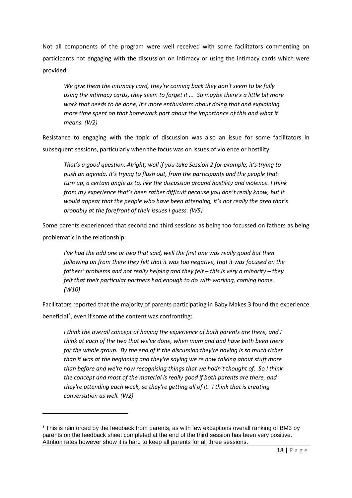Not all components of the program were well received with some facilitators commenting on participants not engaging with the discussion on intimacy or using the intimacy cards which were provided:

*We give them the intimacy card, they're coming back they don't seem to be fully using the intimacy cards, they seem to forget it ... So maybe there's a little bit more work that needs to be done, it's more enthusiasm about doing that and explaining more time spent on that homework part about the importance of this and what it means. (W2)*

Resistance to engaging with the topic of discussion was also an issue for some facilitators in subsequent sessions, particularly when the focus was on issues of violence or hostility:

*That's a good question. Alright, well if you take Session 2 for example, it's trying to push an agenda. It's trying to flush out, from the participants and the people that turn up, a certain angle as to, like the discussion around hostility and violence. I think from my experience that's been rather difficult because you don't really know, but it would appear that the people who have been attending, it's not really the area that's probably at the forefront of their issues I guess. (W5)*

Some parents experienced that second and third sessions as being too focussed on fathers as being problematic in the relationship:

*I've had the odd one or two that said, well the first one was really good but then following on from there they felt that it was too negative, that it was focused on the fathers' problems and not really helping and they felt – this is very a minority – they felt that their particular partners had enough to do with working, coming home. (W10)*

Facilitators reported that the majority of parents participating in Baby Makes 3 found the experience beneficial<sup>[8](#page-18-0)</sup>, even if some of the content was confronting:

*I think the overall concept of having the experience of both parents are there, and I think at each of the two that we've done, when mum and dad have both been there for the whole group. By the end of it the discussion they're having is so much richer than it was at the beginning and they're saying we're now talking about stuff more than before and we're now recognising things that we hadn't thought of. So I think the concept and most of the material is really good if both parents are there, and they're attending each week, so they're getting all of it. I think that is creating conversation as well. (W2)*

**.** 

<span id="page-18-0"></span><sup>&</sup>lt;sup>8</sup> This is reinforced by the feedback from parents, as with few exceptions overall ranking of BM3 by parents on the feedback sheet completed at the end of the third session has been very positive. Attrition rates however show it is hard to keep all parents for all three sessions.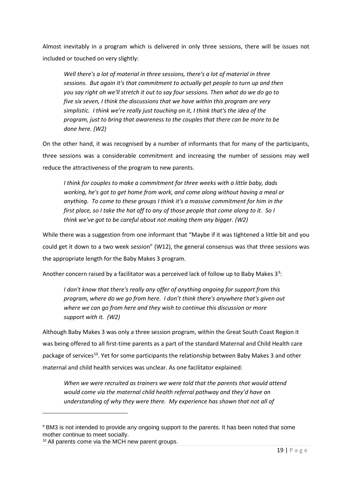Almost inevitably in a program which is delivered in only three sessions, there will be issues not included or touched on very slightly:

*Well there's a lot of material in three sessions, there's a lot of material in three sessions. But again it's that commitment to actually get people to turn up and then you say right oh we'll stretch it out to say four sessions. Then what do we do go to five six seven, I think the discussions that we have within this program are very simplistic. I think we're really just touching on it, I think that's the idea of the program, just to bring that awareness to the couples that there can be more to be done here. (W2)*

On the other hand, it was recognised by a number of informants that for many of the participants, three sessions was a considerable commitment and increasing the number of sessions may well reduce the attractiveness of the program to new parents.

*I think for couples to make a commitment for three weeks with a little baby, dads working, he's got to get home from work, and come along without having a meal or anything. To come to these groups I think it's a massive commitment for him in the first place, so I take the hat off to any of those people that come along to it. So I think we've got to be careful about not making them any bigger. (W2)*

While there was a suggestion from one informant that "Maybe if it was tightened a little bit and you could get it down to a two week session" (W12), the general consensus was that three sessions was the appropriate length for the Baby Makes 3 program.

Another concern raised by a facilitator was a perceived lack of follow up to Baby Makes  $3<sup>9</sup>$  $3<sup>9</sup>$  $3<sup>9</sup>$ :

*I don't know that there's really any offer of anything ongoing for support from this program, where do we go from here. I don't think there's anywhere that's given out where we can go from here and they wish to continue this discussion or more support with it. (W2)*

Although Baby Makes 3 was only a three session program, within the Great South Coast Region it was being offered to all first-time parents as a part of the standard Maternal and Child Health care package of services<sup>10</sup>. Yet for some participants the relationship between Baby Makes 3 and other maternal and child health services was unclear. As one facilitator explained:

*When we were recruited as trainers we were told that the parents that would attend would come via the maternal child health referral pathway and they'd have an understanding of why they were there. My experience has shown that not all of* 

 $\overline{\phantom{a}}$ 

<span id="page-19-0"></span><sup>9</sup> BM3 is not intended to provide any ongoing support to the parents. It has been noted that some mother continue to meet socially.

<span id="page-19-1"></span><sup>&</sup>lt;sup>10</sup> All parents come via the MCH new parent groups.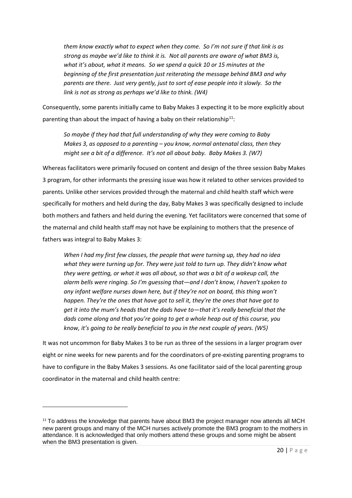*them know exactly what to expect when they come. So I'm not sure if that link is as strong as maybe we'd like to think it is. Not all parents are aware of what BM3 is, what it's about, what it means. So we spend a quick 10 or 15 minutes at the beginning of the first presentation just reiterating the message behind BM3 and why parents are there. Just very gently, just to sort of ease people into it slowly. So the link is not as strong as perhaps we'd like to think. (W4)*

Consequently, some parents initially came to Baby Makes 3 expecting it to be more explicitly about parenting than about the impact of having a baby on their relationship<sup>11</sup>:

*So maybe if they had that full understanding of why they were coming to Baby Makes 3, as opposed to a parenting – you know, normal antenatal class, then they might see a bit of a difference. It's not all about baby. Baby Makes 3. (W7)*

Whereas facilitators were primarily focused on content and design of the three session Baby Makes 3 program, for other informants the pressing issue was how it related to other services provided to parents. Unlike other services provided through the maternal and child health staff which were specifically for mothers and held during the day, Baby Makes 3 was specifically designed to include both mothers and fathers and held during the evening. Yet facilitators were concerned that some of the maternal and child health staff may not have be explaining to mothers that the presence of fathers was integral to Baby Makes 3:

*When I had my first few classes, the people that were turning up, they had no idea what they were turning up for. They were just told to turn up. They didn't know what they were getting, or what it was all about, so that was a bit of a wakeup call, the alarm bells were ringing. So I'm guessing that—and I don't know, I haven't spoken to any infant welfare nurses down here, but if they're not on board, this thing won't happen. They're the ones that have got to sell it, they're the ones that have got to get it into the mum's heads that the dads have to—that it's really beneficial that the dads come along and that you're going to get a whole heap out of this course, you know, it's going to be really beneficial to you in the next couple of years. (W5)*

It was not uncommon for Baby Makes 3 to be run as three of the sessions in a larger program over eight or nine weeks for new parents and for the coordinators of pre-existing parenting programs to have to configure in the Baby Makes 3 sessions. As one facilitator said of the local parenting group coordinator in the maternal and child health centre:

**.** 

<span id="page-20-0"></span> $11$  To address the knowledge that parents have about BM3 the project manager now attends all MCH new parent groups and many of the MCH nurses actively promote the BM3 program to the mothers in attendance. It is acknowledged that only mothers attend these groups and some might be absent when the BM3 presentation is given.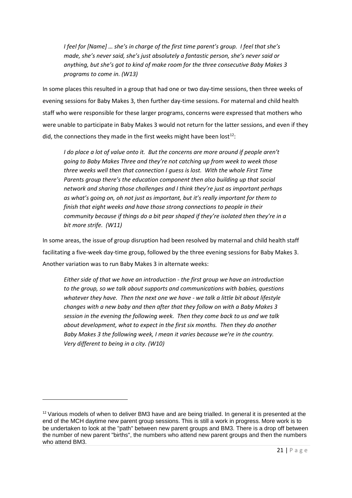*I feel for [Name] … she's in charge of the first time parent's group. I feel that she's made, she's never said, she's just absolutely a fantastic person, she's never said or anything, but she's got to kind of make room for the three consecutive Baby Makes 3 programs to come in. (W13)*

In some places this resulted in a group that had one or two day-time sessions, then three weeks of evening sessions for Baby Makes 3, then further day-time sessions. For maternal and child health staff who were responsible for these larger programs, concerns were expressed that mothers who were unable to participate in Baby Makes 3 would not return for the latter sessions, and even if they did, the connections they made in the first weeks might have been lost<sup>12</sup>:

*I* do place a lot of value onto it. But the concerns are more around if people aren't *going to Baby Makes Three and they're not catching up from week to week those three weeks well then that connection I guess is lost. With the whole First Time Parents group there's the education component then also building up that social network and sharing those challenges and I think they're just as important perhaps as what's going on, oh not just as important, but it's really important for them to finish that eight weeks and have those strong connections to people in their community because if things do a bit pear shaped if they're isolated then they're in a bit more strife. (W11)*

In some areas, the issue of group disruption had been resolved by maternal and child health staff facilitating a five-week day-time group, followed by the three evening sessions for Baby Makes 3. Another variation was to run Baby Makes 3 in alternate weeks:

*Either side of that we have an introduction - the first group we have an introduction to the group, so we talk about supports and communications with babies, questions whatever they have. Then the next one we have - we talk a little bit about lifestyle changes with a new baby and then after that they follow on with a Baby Makes 3 session in the evening the following week. Then they come back to us and we talk about development, what to expect in the first six months. Then they do another Baby Makes 3 the following week, I mean it varies because we're in the country. Very different to being in a city. (W10)*

**.** 

<span id="page-21-0"></span><sup>&</sup>lt;sup>12</sup> Various models of when to deliver BM3 have and are being trialled. In general it is presented at the end of the MCH daytime new parent group sessions. This is still a work in progress. More work is to be undertaken to look at the "path" between new parent groups and BM3. There is a drop off between the number of new parent "births", the numbers who attend new parent groups and then the numbers who attend BM3.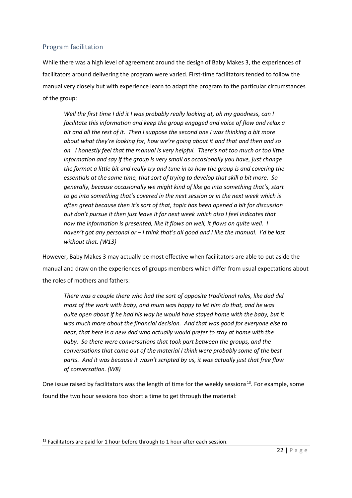#### <span id="page-22-0"></span>Program facilitation

While there was a high level of agreement around the design of Baby Makes 3, the experiences of facilitators around delivering the program were varied. First-time facilitators tended to follow the manual very closely but with experience learn to adapt the program to the particular circumstances of the group:

*Well the first time I did it I was probably really looking at, oh my goodness, can I facilitate this information and keep the group engaged and voice of flow and relax a bit and all the rest of it. Then I suppose the second one I was thinking a bit more about what they're looking for, how we're going about it and that and then and so on. I honestly feel that the manual is very helpful. There's not too much or too little information and say if the group is very small as occasionally you have, just change the format a little bit and really try and tune in to how the group is and covering the essentials at the same time, that sort of trying to develop that skill a bit more. So generally, because occasionally we might kind of like go into something that's, start to go into something that's covered in the next session or in the next week which is often great because then it's sort of that, topic has been opened a bit for discussion but don't pursue it then just leave it for next week which also I feel indicates that how the information is presented, like it flows on well, it flows on quite well. I haven't got any personal or – I think that's all good and I like the manual. I'd be lost without that. (W13)*

However, Baby Makes 3 may actually be most effective when facilitators are able to put aside the manual and draw on the experiences of groups members which differ from usual expectations about the roles of mothers and fathers:

*There was a couple there who had the sort of opposite traditional roles, like dad did most of the work with baby, and mum was happy to let him do that, and he was quite open about if he had his way he would have stayed home with the baby, but it was much more about the financial decision. And that was good for everyone else to hear, that here is a new dad who actually would prefer to stay at home with the baby. So there were conversations that took part between the groups, and the conversations that came out of the material I think were probably some of the best parts. And it was because it wasn't scripted by us, it was actually just that free flow of conversation. (W8)*

One issue raised by facilitators was the length of time for the weekly sessions<sup>13</sup>. For example, some found the two hour sessions too short a time to get through the material:

 $\overline{\phantom{a}}$ 

<span id="page-22-1"></span> $13$  Facilitators are paid for 1 hour before through to 1 hour after each session.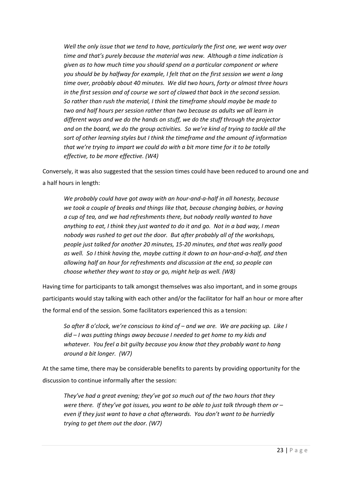*Well the only issue that we tend to have, particularly the first one, we went way over time and that's purely because the material was new. Although a time indication is given as to how much time you should spend on a particular component or where you should be by halfway for example, I felt that on the first session we went a long time over, probably about 40 minutes. We did two hours, forty or almost three hours in the first session and of course we sort of clawed that back in the second session. So rather than rush the material, I think the timeframe should maybe be made to two and half hours per session rather than two because as adults we all learn in different ways and we do the hands on stuff, we do the stuff through the projector and on the board, we do the group activities. So we're kind of trying to tackle all the sort of other learning styles but I think the timeframe and the amount of information that we're trying to impart we could do with a bit more time for it to be totally effective, to be more effective. (W4)*

Conversely, it was also suggested that the session times could have been reduced to around one and a half hours in length:

*We probably could have got away with an hour-and-a-half in all honesty, because we took a couple of breaks and things like that, because changing babies, or having a cup of tea, and we had refreshments there, but nobody really wanted to have anything to eat, I think they just wanted to do it and go. Not in a bad way, I mean nobody was rushed to get out the door. But after probably all of the workshops, people just talked for another 20 minutes, 15-20 minutes, and that was really good as well. So I think having the, maybe cutting it down to an hour-and-a-half, and then allowing half an hour for refreshments and discussion at the end, so people can choose whether they want to stay or go, might help as well. (W8)*

Having time for participants to talk amongst themselves was also important, and in some groups participants would stay talking with each other and/or the facilitator for half an hour or more after the formal end of the session. Some facilitators experienced this as a tension:

*So after 8 o'clock, we're conscious to kind of – and we are. We are packing up. Like I did – I was putting things away because I needed to get home to my kids and whatever. You feel a bit guilty because you know that they probably want to hang around a bit longer. (W7)*

At the same time, there may be considerable benefits to parents by providing opportunity for the discussion to continue informally after the session:

*They've had a great evening; they've got so much out of the two hours that they were there. If they've got issues, you want to be able to just talk through them or – even if they just want to have a chat afterwards. You don't want to be hurriedly trying to get them out the door. (W7)*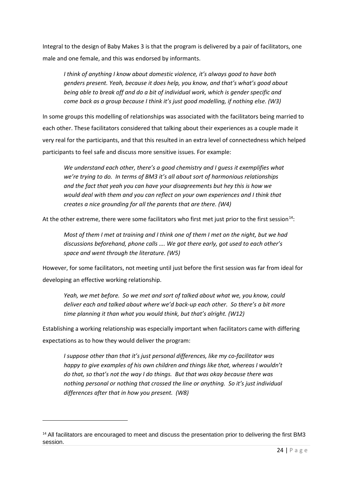Integral to the design of Baby Makes 3 is that the program is delivered by a pair of facilitators, one male and one female, and this was endorsed by informants.

*I think of anything I know about domestic violence, it's always good to have both genders present. Yeah, because it does help, you know, and that's what's good about being able to break off and do a bit of individual work, which is gender specific and come back as a group because I think it's just good modelling, if nothing else. (W3)*

In some groups this modelling of relationships was associated with the facilitators being married to each other. These facilitators considered that talking about their experiences as a couple made it very real for the participants, and that this resulted in an extra level of connectedness which helped participants to feel safe and discuss more sensitive issues. For example:

*We understand each other, there's a good chemistry and I guess it exemplifies what we're trying to do. In terms of BM3 it's all about sort of harmonious relationships and the fact that yeah you can have your disagreements but hey this is how we would deal with them and you can reflect on your own experiences and I think that creates a nice grounding for all the parents that are there. (W4)*

At the other extreme, there were some facilitators who first met just prior to the first session<sup>14</sup>:

*Most of them I met at training and I think one of them I met on the night, but we had discussions beforehand, phone calls …. We got there early, got used to each other's space and went through the literature. (W5)*

However, for some facilitators, not meeting until just before the first session was far from ideal for developing an effective working relationship.

*Yeah, we met before. So we met and sort of talked about what we, you know, could deliver each and talked about where we'd back-up each other. So there's a bit more time planning it than what you would think, but that's alright. (W12)*

Establishing a working relationship was especially important when facilitators came with differing expectations as to how they would deliver the program:

*I suppose other than that it's just personal differences, like my co-facilitator was happy to give examples of his own children and things like that, whereas I wouldn't do that, so that's not the way I do things. But that was okay because there was nothing personal or nothing that crossed the line or anything. So it's just individual differences after that in how you present. (W8)*

**.** 

<span id="page-24-0"></span><sup>&</sup>lt;sup>14</sup> All facilitators are encouraged to meet and discuss the presentation prior to delivering the first BM3 session.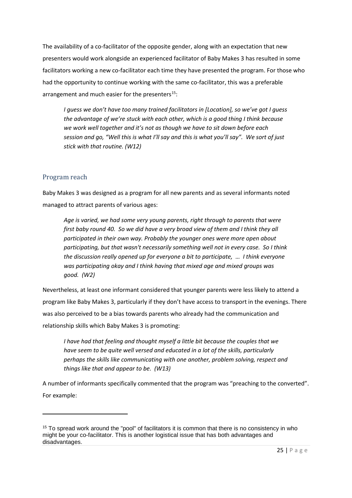The availability of a co-facilitator of the opposite gender, along with an expectation that new presenters would work alongside an experienced facilitator of Baby Makes 3 has resulted in some facilitators working a new co-facilitator each time they have presented the program. For those who had the opportunity to continue working with the same co-facilitator, this was a preferable arrangement and much easier for the presenters<sup>15</sup>:

*I guess we don't have too many trained facilitators in [Location], so we've got I guess the advantage of we're stuck with each other, which is a good thing I think because we work well together and it's not as though we have to sit down before each session and go, "Well this is what I'll say and this is what you'll say". We sort of just stick with that routine. (W12)*

#### <span id="page-25-0"></span>Program reach

**.** 

Baby Makes 3 was designed as a program for all new parents and as several informants noted managed to attract parents of various ages:

*Age is varied, we had some very young parents, right through to parents that were first baby round 40. So we did have a very broad view of them and I think they all participated in their own way. Probably the younger ones were more open about participating, but that wasn't necessarily something well not in every case. So I think the discussion really opened up for everyone a bit to participate, … I think everyone was participating okay and I think having that mixed age and mixed groups was good. (W2)*

Nevertheless, at least one informant considered that younger parents were less likely to attend a program like Baby Makes 3, particularly if they don't have access to transport in the evenings. There was also perceived to be a bias towards parents who already had the communication and relationship skills which Baby Makes 3 is promoting:

*I have had that feeling and thought myself a little bit because the couples that we have seem to be quite well versed and educated in a lot of the skills, particularly perhaps the skills like communicating with one another, problem solving, respect and things like that and appear to be. (W13)*

A number of informants specifically commented that the program was "preaching to the converted". For example:

<span id="page-25-1"></span><sup>&</sup>lt;sup>15</sup> To spread work around the "pool" of facilitators it is common that there is no consistency in who might be your co-facilitator. This is another logistical issue that has both advantages and disadvantages.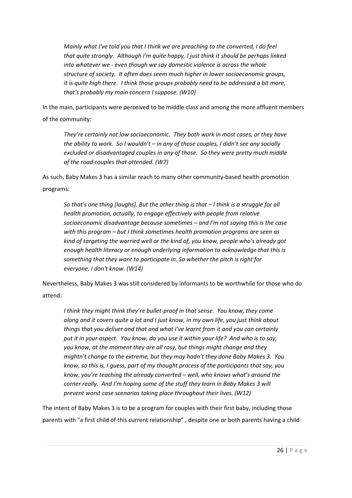*Mainly what I've told you that I think we are preaching to the converted, I do feel that quite strongly. Although I'm quite happy, I just think it should be perhaps linked into whatever we - even though we say domestic violence is across the whole structure of society. It often does seem much higher in lower socioeconomic groups, it is quite high there. I think those groups probably need to be addressed a bit more, that's probably my main concern I suppose. (W10)*

In the main, participants were perceived to be middle class and among the more affluent members of the community:

*They're certainly not low socioeconomic. They both work in most cases, or they have the ability to work. So I wouldn't – in any of those couples, I didn't see any socially excluded or disadvantaged couples in any of those. So they were pretty much middle of the road couples that attended. (W7)*

As such, Baby Makes 3 has a similar reach to many other community-based health promotion programs:

*So that's one thing [laughs]. But the other thing is that – I think is a struggle for all health promotion, actually, to engage effectively with people from relative socioeconomic disadvantage because sometimes – and I'm not saying this is the case with this program – but I think sometimes health promotion programs are seen as kind of targeting the worried well or the kind of, you know, people who's already got enough health literacy or enough underlying information to acknowledge that this is something that they want to participate in. So whether the pitch is right for everyone, I don't know. (W14)*

Nevertheless, Baby Makes 3 was still considered by informants to be worthwhile for those who do attend:

*I think they might think they're bullet-proof in that sense. You know, they come along and it covers quite a lot and I just know, in my own life, you just think about things that you deliver and that and what I've learnt from it and you can certainly put it in your aspect. You know, do you use it within your life? And who is to say, you know, at the moment they are all rosy, but things might change and they mightn't change to the extreme, but they may hadn't they done Baby Makes 3. You know, so this is, I guess, part of my thought process of the participants that say, you know, you're teaching the already converted – well, who knows what's around the corner really. And I'm hoping some of the stuff they learn in Baby Makes 3 will prevent worst case scenarios taking place throughout their lives. (W12)*

The intent of Baby Makes 3 is to be a program for couples with their first baby, including those parents with "a first child of this current relationship" , despite one or both parents having a child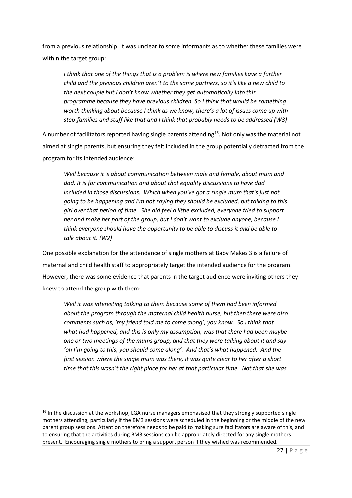from a previous relationship. It was unclear to some informants as to whether these families were within the target group:

*I think that one of the things that is a problem is where new families have a further child and the previous children aren't to the same partners, so it's like a new child to the next couple but I don't know whether they get automatically into this programme because they have previous children. So I think that would be something worth thinking about because I think as we know, there's a lot of issues come up with step-families and stuff like that and I think that probably needs to be addressed (W3)*

A number of facilitators reported having single parents attending<sup>16</sup>. Not only was the material not aimed at single parents, but ensuring they felt included in the group potentially detracted from the program for its intended audience:

*Well because it is about communication between male and female, about mum and dad. It is for communication and about that equality discussions to have dad included in those discussions. Which when you've got a single mum that's just not going to be happening and I'm not saying they should be excluded, but talking to this girl over that period of time. She did feel a little excluded, everyone tried to support her and make her part of the group, but I don't want to exclude anyone, because I think everyone should have the opportunity to be able to discuss it and be able to talk about it. (W2)*

One possible explanation for the attendance of single mothers at Baby Makes 3 is a failure of maternal and child health staff to appropriately target the intended audience for the program. However, there was some evidence that parents in the target audience were inviting others they knew to attend the group with them:

*Well it was interesting talking to them because some of them had been informed about the program through the maternal child health nurse, but then there were also comments such as, 'my friend told me to come along', you know. So I think that what had happened, and this is only my assumption, was that there had been maybe one or two meetings of the mums group, and that they were talking about it and say 'oh I'm going to this, you should come along'. And that's what happened. And the first session where the single mum was there, it was quite clear to her after a short time that this wasn't the right place for her at that particular time. Not that she was* 

 $\overline{\phantom{a}}$ 

<span id="page-27-0"></span><sup>&</sup>lt;sup>16</sup> In the discussion at the workshop, LGA nurse managers emphasised that they strongly supported single mothers attending, particularly if the BM3 sessions were scheduled in the beginning or the middle of the new parent group sessions. Attention therefore needs to be paid to making sure facilitators are aware of this, and to ensuring that the activities during BM3 sessions can be appropriately directed for any single mothers present. Encouraging single mothers to bring a support person if they wished was recommended.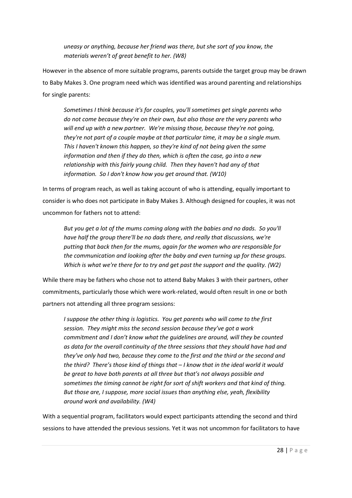*uneasy or anything, because her friend was there, but she sort of you know, the materials weren't of great benefit to her. (W8)*

However in the absence of more suitable programs, parents outside the target group may be drawn to Baby Makes 3. One program need which was identified was around parenting and relationships for single parents:

*Sometimes I think because it's for couples, you'll sometimes get single parents who do not come because they're on their own, but also those are the very parents who will end up with a new partner. We're missing those, because they're not going, they're not part of a couple maybe at that particular time, it may be a single mum. This I haven't known this happen, so they're kind of not being given the same information and then if they do then, which is often the case, go into a new relationship with this fairly young child. Then they haven't had any of that information. So I don't know how you get around that. (W10)*

In terms of program reach, as well as taking account of who is attending, equally important to consider is who does not participate in Baby Makes 3. Although designed for couples, it was not uncommon for fathers not to attend:

*But you get a lot of the mums coming along with the babies and no dads. So you'll have half the group there'll be no dads there, and really that discussions, we're putting that back then for the mums, again for the women who are responsible for the communication and looking after the baby and even turning up for these groups. Which is what we're there for to try and get past the support and the quality. (W2)*

While there may be fathers who chose not to attend Baby Makes 3 with their partners, other commitments, particularly those which were work-related, would often result in one or both partners not attending all three program sessions:

*I suppose the other thing is logistics. You get parents who will come to the first session. They might miss the second session because they've got a work commitment and I don't know what the guidelines are around, will they be counted as data for the overall continuity of the three sessions that they should have had and they've only had two, because they come to the first and the third or the second and the third? There's those kind of things that – I know that in the ideal world it would be great to have both parents at all three but that's not always possible and sometimes the timing cannot be right for sort of shift workers and that kind of thing. But those are, I suppose, more social issues than anything else, yeah, flexibility around work and availability. (W4)*

With a sequential program, facilitators would expect participants attending the second and third sessions to have attended the previous sessions. Yet it was not uncommon for facilitators to have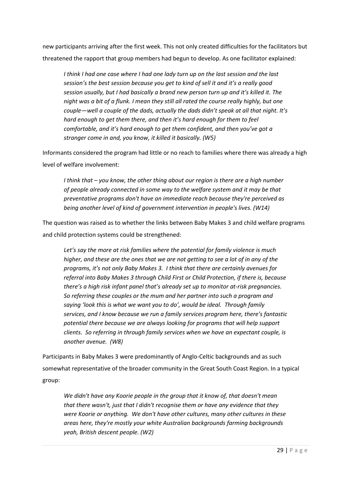new participants arriving after the first week. This not only created difficulties for the facilitators but threatened the rapport that group members had begun to develop. As one facilitator explained:

*I think I had one case where I had one lady turn up on the last session and the last session's the best session because you get to kind of sell it and it's a really good session usually, but I had basically a brand new person turn up and it's killed it. The night was a bit of a flunk. I mean they still all rated the course really highly, but one couple—well a couple of the dads, actually the dads didn't speak at all that night. It's hard enough to get them there, and then it's hard enough for them to feel comfortable, and it's hard enough to get them confident, and then you've got a stranger come in and, you know, it killed it basically. (W5)*

Informants considered the program had little or no reach to families where there was already a high level of welfare involvement:

*I think that – you know, the other thing about our region is there are a high number of people already connected in some way to the welfare system and it may be that preventative programs don't have an immediate reach because they're perceived as being another level of kind of government intervention in people's lives. (W14)*

The question was raised as to whether the links between Baby Makes 3 and child welfare programs and child protection systems could be strengthened:

*Let's say the more at risk families where the potential for family violence is much higher, and these are the ones that we are not getting to see a lot of in any of the programs, it's not only Baby Makes 3. I think that there are certainly avenues for referral into Baby Makes 3 through Child First or Child Protection, if there is, because there's a high risk infant panel that's already set up to monitor at-risk pregnancies. So referring these couples or the mum and her partner into such a program and saying 'look this is what we want you to do', would be ideal. Through family services, and I know because we run a family services program here, there's fantastic potential there because we are always looking for programs that will help support clients. So referring in through family services when we have an expectant couple, is another avenue. (W8)*

Participants in Baby Makes 3 were predominantly of Anglo-Celtic backgrounds and as such somewhat representative of the broader community in the Great South Coast Region. In a typical group:

*We didn't have any Koorie people in the group that it know of, that doesn't mean that there wasn't, just that I didn't recognise them or have any evidence that they were Koorie or anything. We don't have other cultures, many other cultures in these areas here, they're mostly your white Australian backgrounds farming backgrounds yeah, British descent people. (W2)*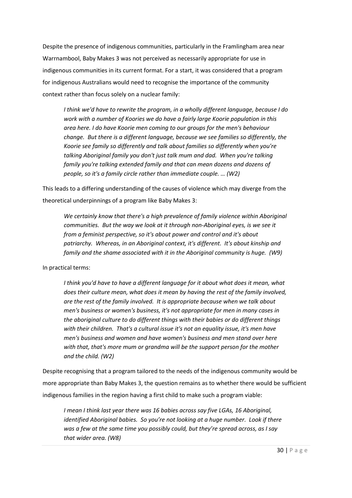Despite the presence of indigenous communities, particularly in the Framlingham area near Warrnambool, Baby Makes 3 was not perceived as necessarily appropriate for use in indigenous communities in its current format. For a start, it was considered that a program for indigenous Australians would need to recognise the importance of the community context rather than focus solely on a nuclear family:

*I think we'd have to rewrite the program, in a wholly different language, because I do work with a number of Koories we do have a fairly large Koorie population in this area here. I do have Koorie men coming to our groups for the men's behaviour change. But there is a different language, because we see families so differently, the Koorie see family so differently and talk about families so differently when you're talking Aboriginal family you don't just talk mum and dad. When you're talking family you're talking extended family and that can mean dozens and dozens of people, so it's a family circle rather than immediate couple. … (W2)*

This leads to a differing understanding of the causes of violence which may diverge from the theoretical underpinnings of a program like Baby Makes 3:

*We certainly know that there's a high prevalence of family violence within Aboriginal communities. But the way we look at it through non-Aboriginal eyes, is we see it from a feminist perspective, so it's about power and control and it's about patriarchy. Whereas, in an Aboriginal context, it's different. It's about kinship and family and the shame associated with it in the Aboriginal community is huge. (W9)*

In practical terms:

*I think you'd have to have a different language for it about what does it mean, what does their culture mean, what does it mean by having the rest of the family involved, are the rest of the family involved. It is appropriate because when we talk about men's business or women's business, it's not appropriate for men in many cases in the aboriginal culture to do different things with their babies or do different things with their children. That's a cultural issue it's not an equality issue, it's men have men's business and women and have women's business and men stand over here with that, that's more mum or grandma will be the support person for the mother and the child. (W2)*

Despite recognising that a program tailored to the needs of the indigenous community would be more appropriate than Baby Makes 3, the question remains as to whether there would be sufficient indigenous families in the region having a first child to make such a program viable:

*I mean I think last year there was 16 babies across say five LGAs, 16 Aboriginal, identified Aboriginal babies. So you're not looking at a huge number. Look if there was a few at the same time you possibly could, but they're spread across, as I say that wider area. (W8)*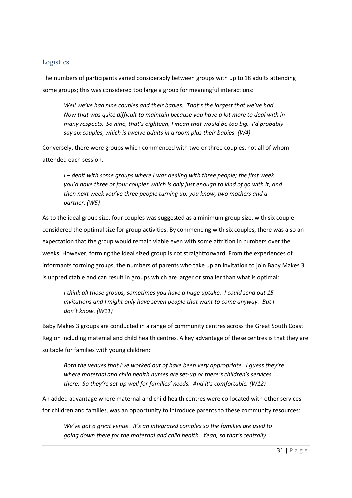#### <span id="page-31-0"></span>Logistics

The numbers of participants varied considerably between groups with up to 18 adults attending some groups; this was considered too large a group for meaningful interactions:

*Well we've had nine couples and their babies. That's the largest that we've had. Now that was quite difficult to maintain because you have a lot more to deal with in many respects. So nine, that's eighteen, I mean that would be too big. I'd probably say six couples, which is twelve adults in a room plus their babies. (W4)*

Conversely, there were groups which commenced with two or three couples, not all of whom attended each session.

*I – dealt with some groups where I was dealing with three people; the first week you'd have three or four couples which is only just enough to kind of go with it, and then next week you've three people turning up, you know, two mothers and a partner. (W5)*

As to the ideal group size, four couples was suggested as a minimum group size, with six couple considered the optimal size for group activities. By commencing with six couples, there was also an expectation that the group would remain viable even with some attrition in numbers over the weeks. However, forming the ideal sized group is not straightforward. From the experiences of informants forming groups, the numbers of parents who take up an invitation to join Baby Makes 3 is unpredictable and can result in groups which are larger or smaller than what is optimal:

*I think all those groups, sometimes you have a huge uptake. I could send out 15 invitations and I might only have seven people that want to come anyway. But I don't know. (W11)*

Baby Makes 3 groups are conducted in a range of community centres across the Great South Coast Region including maternal and child health centres. A key advantage of these centres is that they are suitable for families with young children:

*Both the venues that I've worked out of have been very appropriate. I guess they're where maternal and child health nurses are set-up or there's children's services there. So they're set-up well for families' needs. And it's comfortable. (W12)*

An added advantage where maternal and child health centres were co-located with other services for children and families, was an opportunity to introduce parents to these community resources:

*We've got a great venue. It's an integrated complex so the families are used to going down there for the maternal and child health. Yeah, so that's centrally*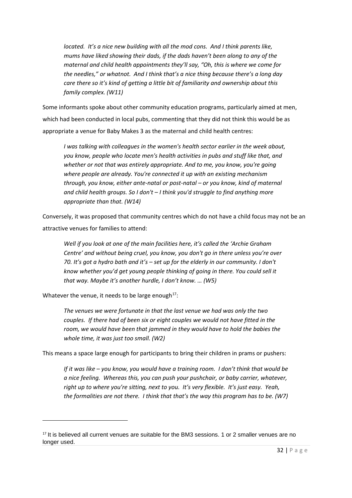*located. It's a nice new building with all the mod cons. And I think parents like, mums have liked showing their dads, if the dads haven't been along to any of the maternal and child health appointments they'll say, "Oh, this is where we come for the needles," or whatnot. And I think that's a nice thing because there's a long day care there so it's kind of getting a little bit of familiarity and ownership about this family complex. (W11)*

Some informants spoke about other community education programs, particularly aimed at men, which had been conducted in local pubs, commenting that they did not think this would be as appropriate a venue for Baby Makes 3 as the maternal and child health centres:

*I was talking with colleagues in the women's health sector earlier in the week about, you know, people who locate men's health activities in pubs and stuff like that, and whether or not that was entirely appropriate. And to me, you know, you're going where people are already. You're connected it up with an existing mechanism through, you know, either ante-natal or post-natal – or you know, kind of maternal and child health groups. So I don't – I think you'd struggle to find anything more appropriate than that. (W14)*

Conversely, it was proposed that community centres which do not have a child focus may not be an attractive venues for families to attend:

*Well if you look at one of the main facilities here, it's called the 'Archie Graham Centre' and without being cruel, you know, you don't go in there unless you're over 70. It's got a hydro bath and it's – set up for the elderly in our community. I don't know whether you'd get young people thinking of going in there. You could sell it that way. Maybe it's another hurdle, I don't know. … (W5)*

Whatever the venue, it needs to be large enough<sup>17</sup>:

**.** 

*The venues we were fortunate in that the last venue we had was only the two couples. If there had of been six or eight couples we would not have fitted in the room, we would have been that jammed in they would have to hold the babies the whole time, it was just too small. (W2)*

This means a space large enough for participants to bring their children in prams or pushers:

*If it was like – you know, you would have a training room. I don't think that would be a nice feeling. Whereas this, you can push your pushchair, or baby carrier, whatever, right up to where you're sitting, next to you. It's very flexible. It's just easy. Yeah, the formalities are not there. I think that that's the way this program has to be. (W7)*

<span id="page-32-0"></span><sup>&</sup>lt;sup>17</sup> It is believed all current venues are suitable for the BM3 sessions. 1 or 2 smaller venues are no longer used.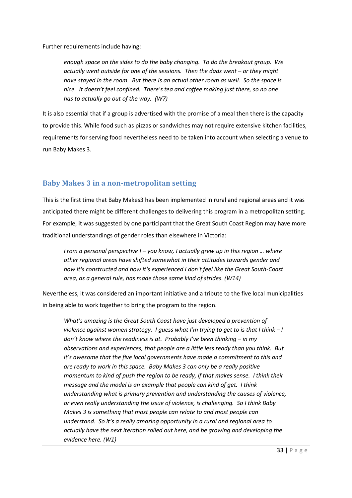Further requirements include having:

*enough space on the sides to do the baby changing. To do the breakout group. We actually went outside for one of the sessions. Then the dads went – or they might have stayed in the room. But there is an actual other room as well. So the space is nice. It doesn't feel confined. There's tea and coffee making just there, so no one has to actually go out of the way. (W7)*

It is also essential that if a group is advertised with the promise of a meal then there is the capacity to provide this. While food such as pizzas or sandwiches may not require extensive kitchen facilities, requirements for serving food nevertheless need to be taken into account when selecting a venue to run Baby Makes 3.

### <span id="page-33-0"></span>**Baby Makes 3 in a non-metropolitan setting**

This is the first time that Baby Makes3 has been implemented in rural and regional areas and it was anticipated there might be different challenges to delivering this program in a metropolitan setting. For example, it was suggested by one participant that the Great South Coast Region may have more traditional understandings of gender roles than elsewhere in Victoria:

*From a personal perspective I – you know, I actually grew up in this region … where other regional areas have shifted somewhat in their attitudes towards gender and how it's constructed and how it's experienced I don't feel like the Great South-Coast area, as a general rule, has made those same kind of strides. (W14)*

Nevertheless, it was considered an important initiative and a tribute to the five local municipalities in being able to work together to bring the program to the region.

*What's amazing is the Great South Coast have just developed a prevention of violence against women strategy. I guess what I'm trying to get to is that I think – I don't know where the readiness is at. Probably I've been thinking – in my observations and experiences, that people are a little less ready than you think. But it's awesome that the five local governments have made a commitment to this and are ready to work in this space. Baby Makes 3 can only be a really positive momentum to kind of push the region to be ready, if that makes sense. I think their message and the model is an example that people can kind of get. I think understanding what is primary prevention and understanding the causes of violence, or even really understanding the issue of violence, is challenging. So I think Baby Makes 3 is something that most people can relate to and most people can understand. So it's a really amazing opportunity in a rural and regional area to actually have the next iteration rolled out here, and be growing and developing the evidence here. (W1)*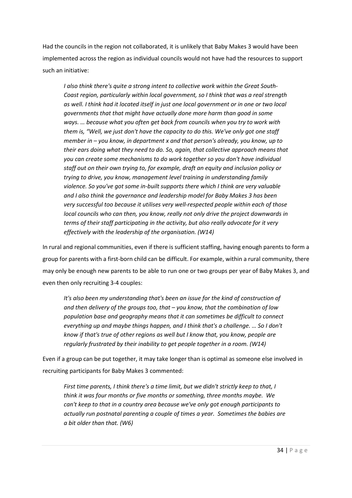Had the councils in the region not collaborated, it is unlikely that Baby Makes 3 would have been implemented across the region as individual councils would not have had the resources to support such an initiative:

*I also think there's quite a strong intent to collective work within the Great South-Coast region, particularly within local government, so I think that was a real strength as well. I think had it located itself in just one local government or in one or two local governments that that might have actually done more harm than good in some ways. … because what you often get back from councils when you try to work with them is, "Well, we just don't have the capacity to do this. We've only got one staff member in – you know, in department x and that person's already, you know, up to their ears doing what they need to do. So, again, that collective approach means that you can create some mechanisms to do work together so you don't have individual staff out on their own trying to, for example, draft an equity and inclusion policy or trying to drive, you know, management level training in understanding family violence. So you've got some in-built supports there which I think are very valuable and I also think the governance and leadership model for Baby Makes 3 has been very successful too because it utilises very well-respected people within each of those local councils who can then, you know, really not only drive the project downwards in terms of their staff participating in the activity, but also really advocate for it very effectively with the leadership of the organisation. (W14)*

In rural and regional communities, even if there is sufficient staffing, having enough parents to form a group for parents with a first-born child can be difficult. For example, within a rural community, there may only be enough new parents to be able to run one or two groups per year of Baby Makes 3, and even then only recruiting 3-4 couples:

*It's also been my understanding that's been an issue for the kind of construction of and then delivery of the groups too, that – you know, that the combination of low population base and geography means that it can sometimes be difficult to connect everything up and maybe things happen, and I think that's a challenge. … So I don't know if that's true of other regions as well but I know that, you know, people are regularly frustrated by their inability to get people together in a room. (W14)*

Even if a group can be put together, it may take longer than is optimal as someone else involved in recruiting participants for Baby Makes 3 commented:

*First time parents, I think there's a time limit, but we didn't strictly keep to that, I think it was four months or five months or something, three months maybe. We can't keep to that in a country area because we've only got enough participants to actually run postnatal parenting a couple of times a year. Sometimes the babies are a bit older than that. (W6)*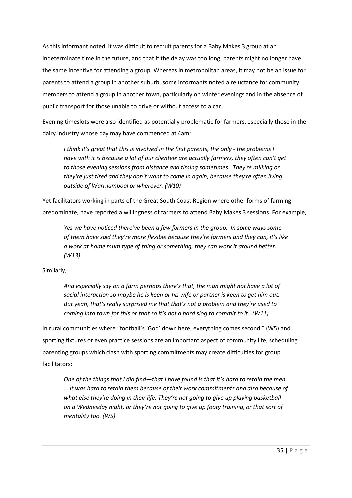As this informant noted, it was difficult to recruit parents for a Baby Makes 3 group at an indeterminate time in the future, and that if the delay was too long, parents might no longer have the same incentive for attending a group. Whereas in metropolitan areas, it may not be an issue for parents to attend a group in another suburb, some informants noted a reluctance for community members to attend a group in another town, particularly on winter evenings and in the absence of public transport for those unable to drive or without access to a car.

Evening timeslots were also identified as potentially problematic for farmers, especially those in the dairy industry whose day may have commenced at 4am:

*I think it's great that this is involved in the first parents, the only - the problems I have with it is because a lot of our clientele are actually farmers, they often can't get to those evening sessions from distance and timing sometimes. They're milking or they're just tired and they don't want to come in again, because they're often living outside of Warrnambool or wherever. (W10)*

Yet facilitators working in parts of the Great South Coast Region where other forms of farming predominate, have reported a willingness of farmers to attend Baby Makes 3 sessions. For example,

*Yes we have noticed there've been a few farmers in the group. In some ways some of them have said they're more flexible because they're farmers and they can, it's like a work at home mum type of thing or something, they can work it around better. (W13)*

Similarly,

*And especially say on a farm perhaps there's that, the man might not have a lot of social interaction so maybe he is keen or his wife or partner is keen to get him out. But yeah, that's really surprised me that that's not a problem and they're used to coming into town for this or that so it's not a hard slog to commit to it. (W11)*

In rural communities where "football's 'God' down here, everything comes second " (W5) and sporting fixtures or even practice sessions are an important aspect of community life, scheduling parenting groups which clash with sporting commitments may create difficulties for group facilitators:

*One of the things that I did find—that I have found is that it's hard to retain the men. … it was hard to retain them because of their work commitments and also because of what else they're doing in their life. They're not going to give up playing basketball on a Wednesday night, or they're not going to give up footy training, or that sort of mentality too. (W5)*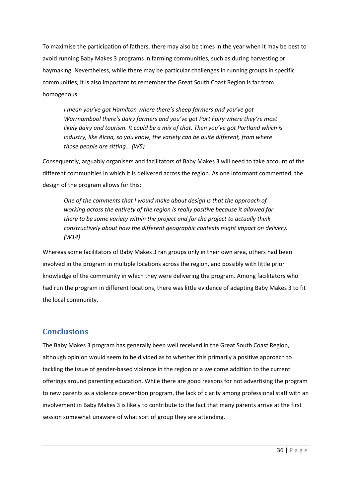To maximise the participation of fathers, there may also be times in the year when it may be best to avoid running Baby Makes 3 programs in farming communities, such as during harvesting or haymaking. Nevertheless, while there may be particular challenges in running groups in specific communities, it is also important to remember the Great South Coast Region is far from homogenous:

*I mean you've got Hamilton where there's sheep farmers and you've got Warrnambool there's dairy farmers and you've got Port Fairy where they're most likely dairy and tourism. It could be a mix of that. Then you've got Portland which is industry, like Alcoa, so you know, the variety can be quite different, from where those people are sitting… (W5)*

Consequently, arguably organisers and facilitators of Baby Makes 3 will need to take account of the different communities in which it is delivered across the region. As one informant commented, the design of the program allows for this:

*One of the comments that I would make about design is that the approach of working across the entirety of the region is really positive because it allowed for there to be some variety within the project and for the project to actually think constructively about how the different geographic contexts might impact on delivery. (W14)*

Whereas some facilitators of Baby Makes 3 ran groups only in their own area, others had been involved in the program in multiple locations across the region, and possibly with little prior knowledge of the community in which they were delivering the program. Among facilitators who had run the program in different locations, there was little evidence of adapting Baby Makes 3 to fit the local community.

### <span id="page-36-0"></span>**Conclusions**

The Baby Makes 3 program has generally been well received in the Great South Coast Region, although opinion would seem to be divided as to whether this primarily a positive approach to tackling the issue of gender-based violence in the region or a welcome addition to the current offerings around parenting education. While there are good reasons for not advertising the program to new parents as a violence prevention program, the lack of clarity among professional staff with an involvement in Baby Makes 3 is likely to contribute to the fact that many parents arrive at the first session somewhat unaware of what sort of group they are attending.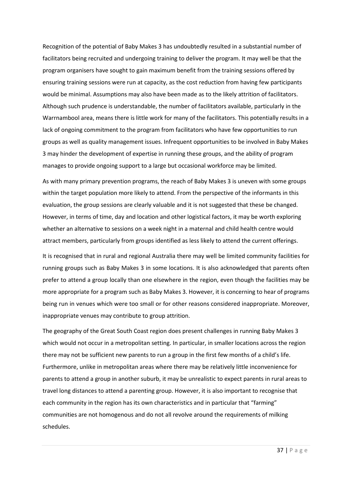Recognition of the potential of Baby Makes 3 has undoubtedly resulted in a substantial number of facilitators being recruited and undergoing training to deliver the program. It may well be that the program organisers have sought to gain maximum benefit from the training sessions offered by ensuring training sessions were run at capacity, as the cost reduction from having few participants would be minimal. Assumptions may also have been made as to the likely attrition of facilitators. Although such prudence is understandable, the number of facilitators available, particularly in the Warrnambool area, means there is little work for many of the facilitators. This potentially results in a lack of ongoing commitment to the program from facilitators who have few opportunities to run groups as well as quality management issues. Infrequent opportunities to be involved in Baby Makes 3 may hinder the development of expertise in running these groups, and the ability of program manages to provide ongoing support to a large but occasional workforce may be limited.

As with many primary prevention programs, the reach of Baby Makes 3 is uneven with some groups within the target population more likely to attend. From the perspective of the informants in this evaluation, the group sessions are clearly valuable and it is not suggested that these be changed. However, in terms of time, day and location and other logistical factors, it may be worth exploring whether an alternative to sessions on a week night in a maternal and child health centre would attract members, particularly from groups identified as less likely to attend the current offerings.

It is recognised that in rural and regional Australia there may well be limited community facilities for running groups such as Baby Makes 3 in some locations. It is also acknowledged that parents often prefer to attend a group locally than one elsewhere in the region, even though the facilities may be more appropriate for a program such as Baby Makes 3. However, it is concerning to hear of programs being run in venues which were too small or for other reasons considered inappropriate. Moreover, inappropriate venues may contribute to group attrition.

The geography of the Great South Coast region does present challenges in running Baby Makes 3 which would not occur in a metropolitan setting. In particular, in smaller locations across the region there may not be sufficient new parents to run a group in the first few months of a child's life. Furthermore, unlike in metropolitan areas where there may be relatively little inconvenience for parents to attend a group in another suburb, it may be unrealistic to expect parents in rural areas to travel long distances to attend a parenting group. However, it is also important to recognise that each community in the region has its own characteristics and in particular that "farming" communities are not homogenous and do not all revolve around the requirements of milking schedules.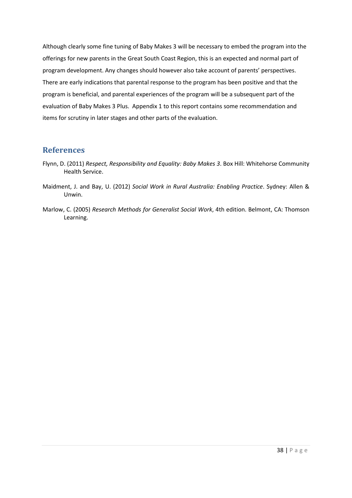Although clearly some fine tuning of Baby Makes 3 will be necessary to embed the program into the offerings for new parents in the Great South Coast Region, this is an expected and normal part of program development. Any changes should however also take account of parents' perspectives. There are early indications that parental response to the program has been positive and that the program is beneficial, and parental experiences of the program will be a subsequent part of the evaluation of Baby Makes 3 Plus. Appendix 1 to this report contains some recommendation and items for scrutiny in later stages and other parts of the evaluation.

#### <span id="page-38-0"></span>**References**

- Flynn, D. (2011) *Respect, Responsibility and Equality: Baby Makes 3*. Box Hill: Whitehorse Community Health Service.
- Maidment, J. and Bay, U. (2012) *Social Work in Rural Australia: Enabling Practice*. Sydney: Allen & Unwin.
- Marlow, C. (2005) *Research Methods for Generalist Social Work*, 4th edition. Belmont, CA: Thomson Learning.